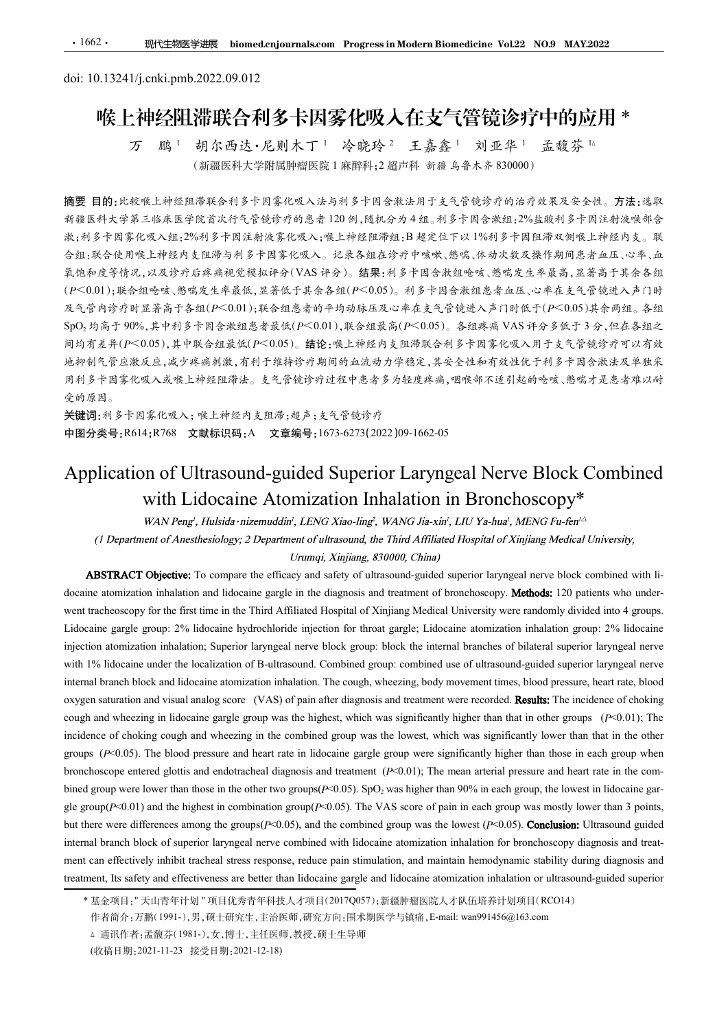# ·1662· 现代生物医学进展 biomed.cnjournals.com Progress.in Modern Biomedicin<br>doi: 10.13241/j.cnki.pmb.2022.09.012<br>喉上神经阻滞联合利多卡因雾化吸入在支气管<br>ア 鹏 <sup>1</sup> 胡尔西达·尼则木丁 <sup>1</sup> 冷晓玲<sup>2</sup> 王嘉鑫 <sup>1</sup> 刘 喉上神经阻滞联合利多卡因雾化吸入在支气管镜诊疗中的应用 \* 万 鹏 <sup>1</sup>

胡尔西达·尼则木丁<sup>1</sup> 冷晓玲<sup>2</sup> 王嘉鑫<sup>1</sup> 刘亚华<sup>1</sup> 孟馥芬 <sup>18</sup><br>(新疆医科大学附属肿瘤医院1麻醉科;2超声科 新疆乌鲁木齐830000)

摘要 目的:比较喉上神经阻滞联合利多卡因雾化吸入法与利多卡因含漱法用于支气管镜诊疗的治疗效果及安全性。方法:选取 新疆医科大学第三临床医学院首次行气管镜诊疗的患者 120 例,随机分为 4 组。利多卡因含漱组:2%盐酸利多卡因注射液喉部含 漱;利多卡因雾化吸入组:2%利多卡因注射液雾化吸入;喉上神经阻滞组:B 超定位下以 1%利多卡因阻滞双侧喉上神经内支。联 合组:联合使用喉上神经内支阻滞与利多卡因雾化吸入。记录各组在诊疗中咳嗽、憋喘、体动次数及操作期间患者血压、心率、血 氧饱和度等情况,以及诊疗后疼痛视觉模拟评分(VAS 评分)。结果:利多卡因含漱组呛咳、憋喘发生率最高,显著高于其余各组 (P<0.01);联合组呛咳、憋喘发生率最低,显著低于其余各组(P<0.05)。利多卡因含漱组患者血压、心率在支气管镜进入声门时 及气管内诊疗时显著高于各组(P<0.01);联合组患者的平均动脉压及心率在支气管镜进入声门时低于(P<0.05)其余两组。各组 SpO2 均高于 90%,其中利多卡因含漱组患者最低(P<0.01),联合组最高(P<0.05)。各组疼痛 VAS 评分多低于 3 分,但在各组之 间均有差异(P<0.05),其中联合组最低(P<0.05)。结论:喉上神经内支阻滞联合利多卡因雾化吸入用于支气管镜诊疗可以有效 地抑制气管应激反应,减少疼痛刺激,有利于维持诊疗期间的血流动力学稳定,其安全性和有效性优于利多卡因含漱法及单独采 用利多卡因雾化吸入或喉上神经阻滞法。支气管镜诊疗过程中患者多为轻度疼痛,咽喉部不适引起的呛咳、憋喘才是患者难以耐 受的原因。 (初體医科学科学生的事業、研究所、業務管理所、業務所得、新聞、新聞、1979年10月、1982年10月、1982年10月、1982年10月、1982年10月、1983年10月、1983年10月、1983年10月、1983年10月、1983年10月、1983年10月、1983年10月、1983年10月、1983年10月、1983年10月、1983年10月、1984年10月、1984年10月、1984年10月、1984年10月、1984年1 with Lidocaine Atomization Inhalation in Bronchoscopy\* s a new transformation of r A new transformation of r a mean transformation of the third of the set of the set of the set of the set of the set of the set of the set of the set of the set of the set of the set of the se

关键词:利多卡因雾化吸入;喉上神经内支阻滞;超声;支气管镜诊疗 中图分类号:R614;R768 文献标识码:A 文章编号:1673-6273(2022)09-1662-05

 $\sim$  2% 11797 = 2% may 2% used 2% lidocalize gargle; The state gargle; Linkeling atomization for the state gargle; Linkeling atomization for the state gargle; Linkeling atomization for the state group: 2% linkeling at th internal man atomization atomization atomization in the internal branches in the internal branches block ato the internal branches block and internal branches block and internal branches block and internal branches of bil  $^{48}$  MB  $^{48}$  Existe and  $^{48}$  Existe and  $^{48}$  Existe and  $^{48}$  Existe and  $^{48}$  Existe and  $^{48}$  Existe and  $^{48}$  Existe and  $^{48}$  Existe and  $^{48}$  Existe and  $^{48}$  Existe and  $^{48}$  Existe and  $^{48}$  Exis Experiment of Northeast and the Section of Paultrisonal branch block and treatment block and the coupling of the coupling of the coupling of the coupling of the coupling of the coupling of the coupling of the coupling of oxy Preserved Section and visual analog score (VAS) of pain and visual and visual analog score (VAS) of analog score (VAS) of analog score (VAS) of analog score (VAS) of analog score (VAS) of analog score (VAS) of analog **2.98**  $\frac{1}{2}$  **and where**  $\frac{1}{2}$  **and where**  $\frac{1}{2}$  **and**  $\frac{1}{2}$  **and**  $\frac{1}{2}$  **and**  $\frac{1}{2}$  **and**  $\frac{1}{2}$  **and**  $\frac{1}{2}$  **and**  $\frac{1}{2}$  **and**  $\frac{1}{2}$  **and**  $\frac{1}{2}$  **and**  $\frac{1}{2}$  **and**  $\frac{1}{2}$  **and**  $\frac{1}{2}$  **and \frac{1}{ Application of Ultrasound-guided Superior Laryngeal Nerve Block Combined<br>
Application of Ultrasound-guided Superior Laryngeal Nerve Block Combined<br>
with Lidocaine Atomization Inhalation in Bronchoscopy\*<br>
"
"
"
"
"
"
"
"** The blood proparities of the blood and example in the blood properties (*P-blood pressure and NANCH* Fig. 2013). The blood pressure and heart rate in the content<br>
(*P Departmen of Anesthesiolgy, 2 Departmentalisty, LENG X* Application of Ultrasound-guided Superior Laryngeal Nerve Block Combined<br>with Lidocaine Atomization Inhalation in Bronchoscopy\*<br>use we with Lidocaine Atomization Inhalation in Bronchoscopy\*<br> $^{(l)}$ <br> $^{(l)}$  Deparates of Ansi BENN Pengl : Huisida-nizemuadin', LENG Xiao-ling', WANG Ha-xir', LEE Ya-har', MENG Pa-fer<sup>15</sup><br>(1) Department of Anesthesiology; 2 Department of ultrasound, the Third Alfiliales Hospital of Xinjings Medical University.<br> **A** (1 Department of Anexibesiology; 2 Department of olitasound, the Third Affiliaeted Hospital of Xanjing Medical University.<br> **ABSTRACT Objective:** To compare the efficacy and safety of three-and safety of China (*Milliaete* **ABSTRACT Objective:** To compare the efficacy and safety of ultrasound-guided superior laryngeal nerve block combined with lideosing ultrasound-guided superior than the better than the better than the better than the same racheoscopy for the first time in the Third Affiliated Hospital of Xinjiang Medical University were randomly divided into 4 groups,<br>nine graphe propre. <sup>256</sup> islocients hydrocholoride injection for threat grapic; Lidocain

<sup>△</sup> 通讯作者:孟馥芬(1981-),女,博士,主任医师,教授,硕士生导师

<sup>(</sup>收稿日期:2021-11-23 接受日期:2021-12-18)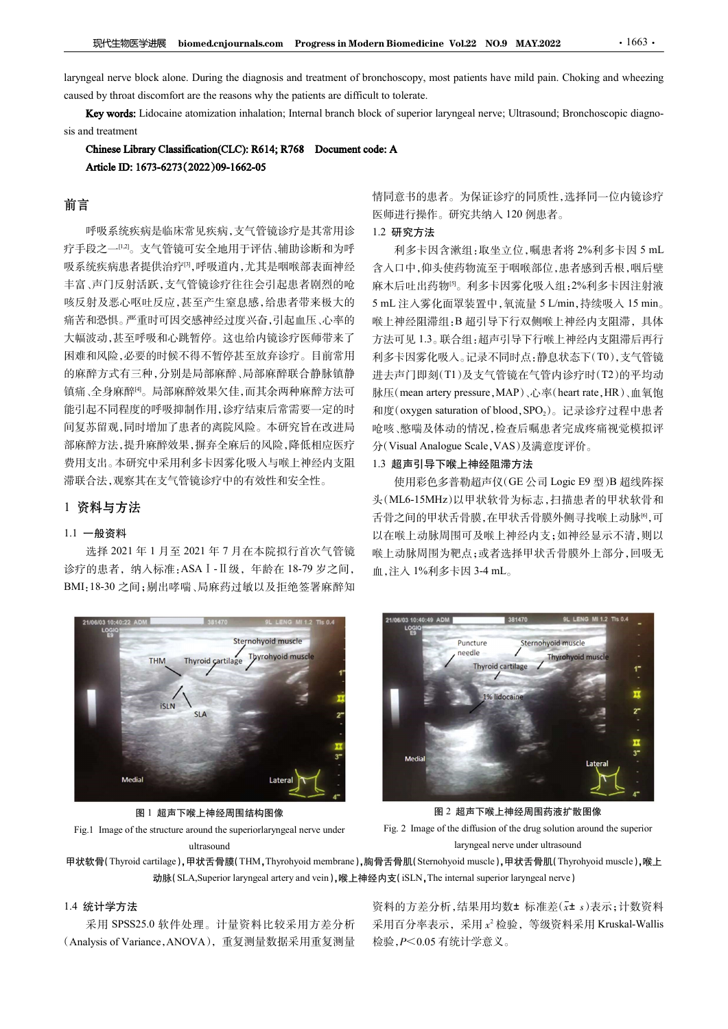R代生物医学进展 biomed.cnjournals.com Progress in Modern Biomedicine Vol.22 NO.9 MAY.2022 · 1663 · laryngeal nerve block alone. During the diagnosis and treatment of bronchoscopy, most patients have mild pain. Choking and wheezi FRI THE DE DISCONSIANT UNIVERSIAL DEVIDED AT A THORE IS USED THE REAST OF THE REAST OF THE REAST OF THE REAST OF THE PATIENT CHOCK alone. During the diagnosis and treatment of bronchoscopy, most patients have mild pain. C **现代生物医学进展** biomed.cnjournals.com Progress in Modern Biomedicine Vol.22 NO.9 MAY.2022 · 1663 · laryngeal nerve block alone. During the diagnosis and treatment of bronchoscopy, most patients have mild pain. Choking and whee

## 前言

呼吸系统疾病是临床常见疾病,支气管镜诊疗是其常用诊 疗手段之一<sup>[12]</sup>。支气管镜可安全地用于评估、辅助诊断和为呼 和多卡因含漱组:取坐立位,嘱患者将 2%利多卡因 5 mL 吸系统疾病患者提供治疗[3],呼吸道内,尤其是咽喉部表面神经 丰富、声门反射活跃,支气管镜诊疗往往会引起患者剧烈的呛 咳反射及恶心呕吐反应,甚至产生窒息感,给患者带来极大的 5 mL 注入雾化面罩装置中,氧流量 5 L/min,持续吸入 15 min。 痛苦和恐惧。严重时可因交感神经过度兴奋,引起血压、心率的 大幅波动,甚至呼吸和心跳暂停。这也给内镜诊疗医师带来了 困难和风险,必要的时候不得不暂停甚至放弃诊疗。目前常用 的麻醉方式有三种,分别是局部麻醉、局部麻醉联合静脉镇静 镇痛、全身麻醉<sup>啊</sup>。局部麻醉效果欠佳,而其余两种麻醉方法可 脉压(mean artery pressure, MAP)、心率(heart rate, HR)、血氧饱 能引起不同程度的呼吸抑制作用,诊疗结束后常需要一定的时 和度(oxygen saturation of blood, SPO2)。记录诊疗过程中患者 间复苏留观,同时增加了患者的离院风险。本研究旨在改进局 部麻醉方法,提升麻醉效果,摒弃全麻后的风险,降低相应医疗 分(Visual Analogue Scale, VAS)及满意度评价。 费用支出。本研究中采用利多卡因雾化吸入与喉上神经内支阻 滞联合法,观察其在支气管镜诊疗中的有效性和安全性。

### 1 资料与方法

### 1.1 一般资料

选择 2021 年 1 月至 2021 年 7 月在本院拟行首次气管镜 诊疗的患者, 纳入标准: ASA I - II 级, 年龄在 18-79 岁之间, 血, 注入 1%利多卡因 3-4 mL。 BMI:18-30 之间;剔出哮喘、局麻药过敏以及拒绝签署麻醉知



图 1 超声下喉上神经周围结构图像 ultrasound

情同意书的患者。为保证诊疗的同质性,选择同一位内镜诊疗 医师进行操作。研究共纳入 120 例患者。

### 1.2 研究方法

iomedicine Vol.22 NO.9 MAY.2022 1663.<br>
oscopy, most patients have mild pain. Choking and wheezing<br>
iolerate.<br>
Superior laryngeal nerve; Ultrasound; Bronchoscopic diagno-<br>
Superior laryngeal nerve; Ultrasound; Bronchoscopi 含入口中,仰头使药物流至于咽喉部位,患者感到舌根,咽后壁 麻木后吐出药物[5]。利多卡因雾化吸入组:2%利多卡因注射液 rn Biomedicine Vol.22 NO.9 MAY.2022<br>
onchoscopy, most patients have mild pain. Choking and wheezing<br>
the to tolerate.<br>
the to therate.<br>
<br>
conde: A<br>
frien 意书的患者。为保证诊疗的同质性, 选择同一位内镜诊疗<br>
<br>
使进行操作。研究共纳入 120 例患者。<br>
1.2 研究方法<br>
和多卡因含 喉上神经阻滞组:B 超引导下行双侧喉上神经内支阻滞,具体 方法可见 1.3。联合组:超声引导下行喉上神经内支阻滞后再行 利多卡因雾化吸入。记录不同时点:静息状态下(T0),支气管镜 进去声门即刻(T1)及支气管镜在气管内诊疗时(T2)的平均动 onchoscopy, most patients have mild pain. Choking and wheezing<br>to to lolerate.<br>to colerate.<br>where the symperal nerve; Ultrasound; Bronchoscopic diagno-<br>**de: A**<br> $\frac{1}{2}$  artery pressure, MAP artery pressure, HR 5 mL<br><br>E 师进 lt to tolerate.<br>
ck of superior laryngeal nerve; Ultrasound; Bronchoscopic diagno-<br>
de: A<br>
16 国意书的患者。为保证诊疗的同质性, 选择同一位内镜诊疗<br>
<br>
医师进行操作。研究共纳入 120 例患者。<br>
1.2 研究方法 ( 新建公式 ) 、 ( 斯基者格 2%利多卡因 5 mL<br>
2 研究方法 ( 图 - 10 例患者, <br>
2 不对多少因子 ( 呛咳、憋喘及体动的情况,检查后嘱患者完成疼痛视觉模拟评 de: A<br>情同意书的患者。为保证诊疗的同质性,选择同一位内镜诊疗<br>医师进行操作。研究共纳入120例患者。<br>1.2 研究方法<br>イント因全激组:取坐立位,嘱患者将 2%利多卡因5mL<br>イント因会使药物流至于咽喉部位,患者感到舌根,咽后壁<br>麻木后吐出药物。利多卡因雾化吸入组:2%利多卡因注射液<br>5mL 注入雾化而罩装置中,氧流量5 L/mi,持续吸入15 min。<br>听上计多数物"。利多卡因雾化吸入组:2%利多卡因注射液<br>5mL 注入雾化而罩装 意书的患者。为保证诊疗的同质性,选择同一位内镜诊疗<br>进行操作。研究共纳入120例患者。<br><br>**研究方法**<br>新发卡因含漱组:取坐立位,嘱患者将 2%利多卡因5 mL<br>F史方法<br><br>TOP: (中央使药物流至于咽喉部位,患者感到舌根,咽后壁<br><br><br><br>[日中,仰头使药物流至于咽喉部位,患者感到舌根,咽后壁<br><br>[日中,仰头使药物流至于有行时,经过2%利多卡因:身体,具体<br>神经阻滞出,早后有时,在神经内内,有手术 后再行<br><br>中可 11.3。联合组:超声导 血,注入 1%利多卡因 3-4 mL。

### 1.3 超声引导下喉上神经阻滞方法

头(ML6-15MHz)以甲状软骨为标志,扫描患者的甲状软骨和 舌骨之间的甲状舌骨膜,在甲状舌骨膜外侧寻找喉上动脉<sup>[6]</sup>,可 以在喉上动脉周围可及喉上神经内支;如神经显示不清,则以 喉上动脉周围为靶点;或者选择甲状舌骨膜外上部分,回吸无



图 2 超声下喉上神经周围药液扩散图像

### 1.4 统计学方法

采用 SPSS25.0 软件处理。计量资料比较采用方差分析

资料的方差分析,结果用均数±标准差(x± s)表示;计数资料 采用百分率表示,采用 $\,x^2\,$ 检验,等级资料采用 Kruskal-Wallis 检验,P<0.05 有统计学意义。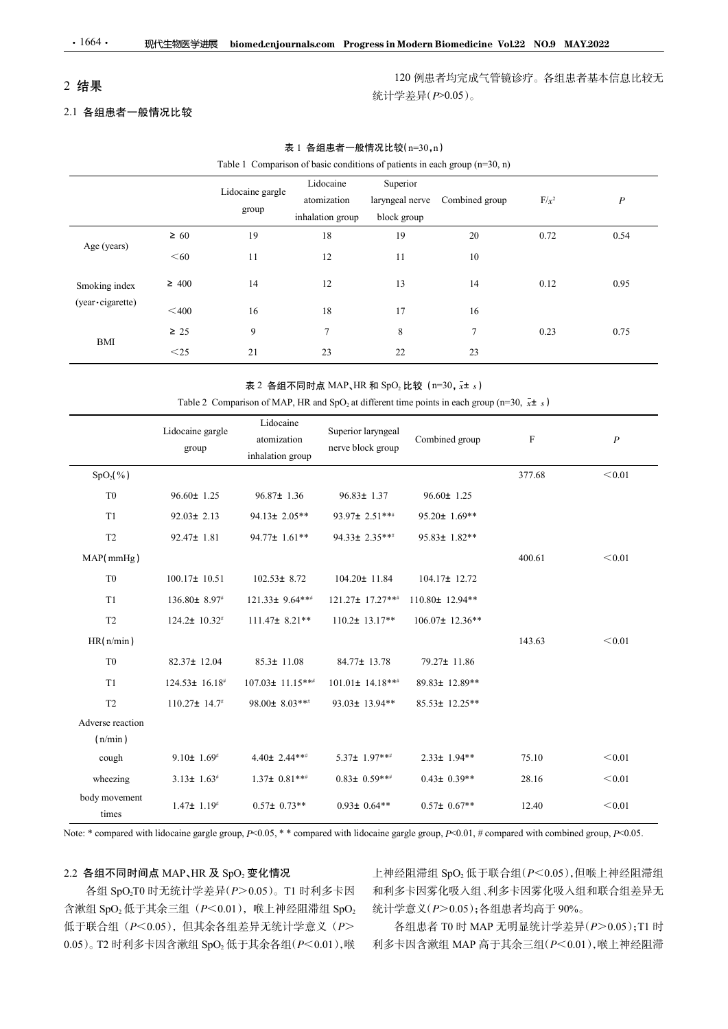# 2 结果

## 2.1 各组患者一般情况比较

| 结果                 |                                            |                                              |                                                                  |             | 120 例患者均完成气管镜诊疗。各组患者基本信息比较无<br>统计学差异(P>0.05)。                                                                   |             |                  |
|--------------------|--------------------------------------------|----------------------------------------------|------------------------------------------------------------------|-------------|-----------------------------------------------------------------------------------------------------------------|-------------|------------------|
| 1 各组患者一般情况比较       |                                            |                                              |                                                                  |             |                                                                                                                 |             |                  |
|                    |                                            |                                              | 表 1 各组患者一般情况比较(n=30,n)                                           |             |                                                                                                                 |             |                  |
|                    |                                            |                                              |                                                                  |             | Table 1 Comparison of basic conditions of patients in each group $(n=30, n)$                                    |             |                  |
|                    |                                            | Lidocaine gargle                             | Lidocaine                                                        | Superior    |                                                                                                                 |             |                  |
|                    |                                            | group                                        | atomization<br>inhalation group                                  | block group | laryngeal nerve Combined group                                                                                  | $F/x^2$     | $\boldsymbol{P}$ |
|                    | $\geq 60$                                  | 19                                           | 18                                                               | 19          | $20\,$                                                                                                          | 0.72        | 0.54             |
| Age (years)        | $<$ 60                                     | 11                                           | 12                                                               | 11          | 10                                                                                                              |             |                  |
| Smoking index      | $\geq 400$                                 | 14                                           | 12                                                               | 13          | 14                                                                                                              | 0.12        | 0.95             |
| (year · cigarette) | $<$ 400                                    | 16                                           | 18                                                               | 17          | 16                                                                                                              |             |                  |
|                    | $\geq 25$                                  | 9                                            | $7\phantom{.0}$                                                  | $\,8\,$     | $7\phantom{.0}$                                                                                                 | 0.23        | 0.75             |
| BMI                | $\leq$ 25                                  | 21                                           | 23                                                               | 22          | 23                                                                                                              |             |                  |
|                    |                                            |                                              | 表 2 各组不同时点 MAP、HR 和 SpO <sub>2</sub> 比较 (n=30, x <sup>+</sup> s) |             |                                                                                                                 |             |                  |
|                    |                                            |                                              |                                                                  |             | Table 2 Comparison of MAP, HR and SpO <sub>2</sub> at different time points in each group (n=30, $\bar{x}$ ± s) |             |                  |
|                    | Lidocaine gargle<br>$\operatorname{group}$ | Lidocaine<br>atomization<br>inhalation group | Superior laryngeal<br>nerve block group                          |             | Combined group                                                                                                  | $\mathbf F$ | $\boldsymbol{P}$ |
| $SpO_2($ %)        |                                            |                                              |                                                                  |             |                                                                                                                 | 377.68      | $\!<\!0.01$      |
| ${\rm T}0$         | $96.60 \pm 1.25$                           | $96.87 \pm 1.36$                             | $96.83 \pm 1.37$                                                 |             | $96.60 \pm 1.25$                                                                                                |             |                  |
| T1                 | $92.03 \pm 2.13$                           | 94.13± $2.05**$                              | 93.97± 2.51 ***                                                  |             | 95.20± 1.69**                                                                                                   |             |                  |
| T2                 | $92.47 \pm 1.81$                           | 94.77± 1.61**                                | 94.33± 2.35***                                                   |             | 95.83± $1.82**$                                                                                                 |             |                  |
| MAP(mmHg)          |                                            |                                              |                                                                  |             |                                                                                                                 | 400.61      | $<\!0.01$        |
|                    |                                            |                                              |                                                                  |             |                                                                                                                 |             |                  |

## 表 1 各组患者一般情况比较(n=30,n)

### 表 2 各组不同时点 MAP、HR 和 SpO<sub>2</sub> 比较 (n=30,  $\bar{x}$ ± s)

|                             |                               | group                                        | atomization<br>inhalation group                                  | block group | laryngeal nerve Combined group                                                                                         | $F/x^2$     | $\boldsymbol{P}$ |
|-----------------------------|-------------------------------|----------------------------------------------|------------------------------------------------------------------|-------------|------------------------------------------------------------------------------------------------------------------------|-------------|------------------|
|                             | $\geq 60$                     | 19                                           | $18\,$                                                           | 19          | $20\,$                                                                                                                 | 0.72        | 0.54             |
| Age (years)                 | $<$ 60                        | 11                                           | 12                                                               | $11\,$      | $10\,$                                                                                                                 |             |                  |
| Smoking index               | $\geq 400$                    | 14                                           | $12\,$                                                           | 13          | 14                                                                                                                     | 0.12        | 0.95             |
| (year · cigarette)          | $<$ 400 $\,$                  | 16                                           | 18                                                               | 17          | $16\,$                                                                                                                 |             |                  |
| BMI                         | $\geq 25$                     | 9                                            | $\tau$                                                           | 8           | $7\phantom{.0}$                                                                                                        | 0.23        | 0.75             |
|                             | $<$ 25                        | 21                                           | 23                                                               | 22          | 23                                                                                                                     |             |                  |
|                             |                               |                                              | 表 2 各组不同时点 MAP、HR 和 SpO <sub>2</sub> 比较 (n=30, x <sup>+</sup> s) |             | Table 2 Comparison of MAP, HR and SpO <sub>2</sub> at different time points in each group (n=30, $\bar{x}$ <b>±</b> s) |             |                  |
|                             | Lidocaine gargle<br>group     | Lidocaine<br>atomization<br>inhalation group | Superior laryngeal<br>nerve block group                          |             | Combined group                                                                                                         | $\mathbf F$ | $\boldsymbol{P}$ |
| $SpO2(\%)$                  |                               |                                              |                                                                  |             |                                                                                                                        | 377.68      | $<\!0.01$        |
| T <sub>0</sub>              | $96.60 \pm 1.25$              | $96.87 \pm 1.36$                             | $96.83 \pm 1.37$                                                 |             | $96.60 \pm 1.25$                                                                                                       |             |                  |
| T1                          | $92.03 \pm 2.13$              | 94.13± 2.05**                                | 93.97± 2.51 ***                                                  |             | $95.20 \pm 1.69$ **                                                                                                    |             |                  |
| T <sub>2</sub>              | $92.47 \pm 1.81$              | 94.77± 1.61**                                | 94.33± 2.35***                                                   |             | $95.83 \pm 1.82**$                                                                                                     |             |                  |
| MAP(mmHg)                   |                               |                                              |                                                                  |             |                                                                                                                        | 400.61      | $<\!0.01$        |
| ${\rm T}0$                  | $100.17 \pm 10.51$            | $102.53 \pm 8.72$                            | 104.20± 11.84                                                    |             | 104.17± 12.72                                                                                                          |             |                  |
| T1                          | 136.80± 8.97#                 | 121.33± 9.64***                              | 121.27± 17.27***                                                 |             | 110.80± 12.94**                                                                                                        |             |                  |
| $\operatorname{T2}$         | $124.2 \pm 10.32^*$           | $111.47 \pm 8.21**$                          | $110.2 \pm 13.17**$                                              |             | 106.07± 12.36**                                                                                                        |             |                  |
| HR(n/min)                   |                               |                                              |                                                                  |             |                                                                                                                        | 143.63      | $<\!0.01$        |
| ${\rm T}0$                  | 82.37± 12.04                  | $85.3 \pm 11.08$                             | 84.77± 13.78                                                     |             | 79.27± 11.86                                                                                                           |             |                  |
| T1                          | $124.53 \pm 16.18^{\text{*}}$ | 107.03± 11.15***                             | $101.01 \pm 14.18***$                                            |             | 89.83± 12.89**                                                                                                         |             |                  |
| T <sub>2</sub>              | $110.27 \pm 14.7^*$           | 98.00± $8.03***$                             | 93.03± 13.94**                                                   |             | 85.53± 12.25**                                                                                                         |             |                  |
| Adverse reaction<br>(n/min) |                               |                                              |                                                                  |             |                                                                                                                        |             |                  |
| cough                       | 9.10 $\pm$ 1.69 <sup>#</sup>  | $4.40 \pm 2.44$ ***                          | $5.37 \pm 1.97$ ***                                              |             | $2.33 \pm 1.94**$                                                                                                      | 75.10       | $<\!0.01$        |
| wheezing                    | $3.13 \pm 1.63^*$             | $1.37\pm 0.81***$                            | $0.83 \pm 0.59$ ***                                              |             | $0.43 \pm 0.39**$                                                                                                      | 28.16       | $<\!0.01$        |
| body movement               | $1.47 \pm 1.19^{*}$           | $0.57\pm 0.73**$                             | $0.93 \pm 0.64**$                                                |             | $0.57\pm 0.67**$                                                                                                       | 12.40       | $<\!0.01$        |

### $2.2$  各组不同时间点 MAP、HR 及 SpO2 变化情况

各组 SpO<sub>2</sub>T0 时无统计学差异(P>0.05)。T1 时利多卡因 含漱组 SpO<sub>2</sub> 低于其余三组 ( $P$ <0.01), 喉上神经阻滞组 SpO<sub>2</sub> 低于联合组 (P<0.05), 但其余各组差异无统计学意义 (P>  $(0.05)$ 。T2 时利多卡因含漱组 SpO<sub>2</sub> 低于其余各组 $(P< 0.01)$ ,喉

各组患者 T0 时 MAP 无明显统计学差异(P>0.05);T1 时 利多卡因含漱组 MAP 高于其余三组(P<0.01),喉上神经阻滞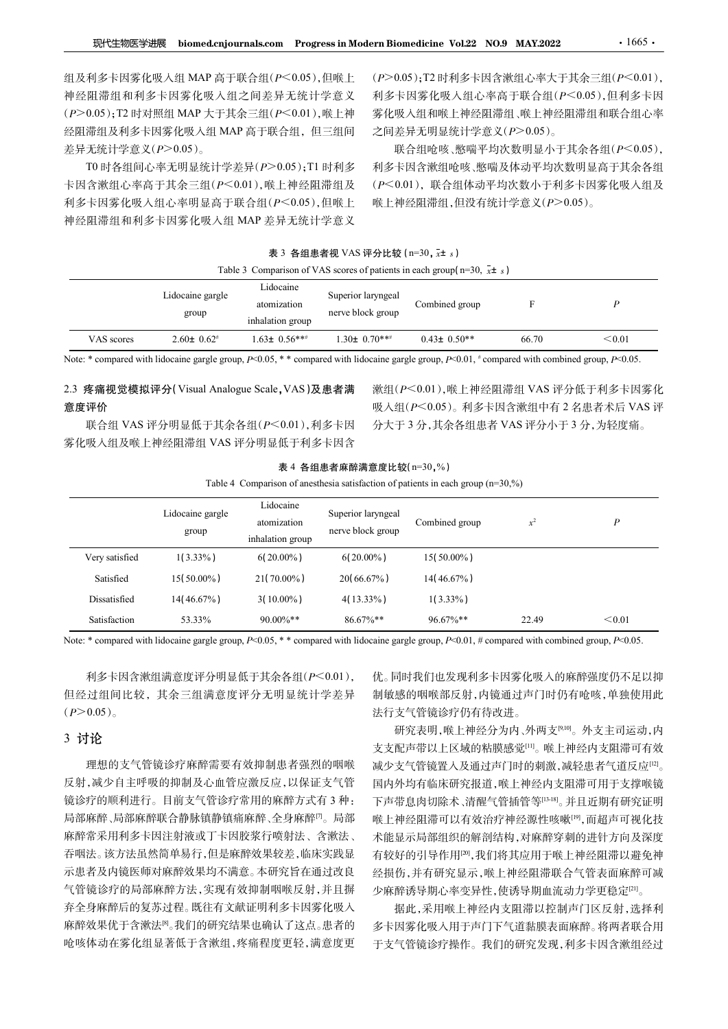| 表 3 各组患者视 VAS 评分比较 (n=30, $\bar{x}$ ± s) |  |
|------------------------------------------|--|
|------------------------------------------|--|

|  |  | able 3 Comparison of VAS scores of patients in each group( $n=30$ , $x\pm s$ ) |
|--|--|--------------------------------------------------------------------------------|
|  |  |                                                                                |

| 现代生物医学进展                                     |                                         |                                              |                                         | biomed.cnjournals.com Progress in Modern Biomedicine Vol.22 NO.9 MAY.2022                                                                                |       | $\cdot$ 1665 $\cdot$                  |
|----------------------------------------------|-----------------------------------------|----------------------------------------------|-----------------------------------------|----------------------------------------------------------------------------------------------------------------------------------------------------------|-------|---------------------------------------|
| 组及利多卡因雾化吸入组 MAP 高于联合组(P<0.05),但喉上            |                                         |                                              |                                         |                                                                                                                                                          |       | (P>0.05);T2 时利多卡因含漱组心率大于其余三组(P<0.01), |
| 神经阻滞组和利多卡因雾化吸入组之间差异无统计学意义                    |                                         |                                              |                                         |                                                                                                                                                          |       | 利多卡因雾化吸入组心率高于联合组(P<0.05),但利多卡因        |
|                                              | (P>0.05);T2 时对照组 MAP 大于其余三组(P<0.01),喉上神 |                                              |                                         |                                                                                                                                                          |       | 雾化吸入组和喉上神经阻滞组、喉上神经阻滞组和联合组心率           |
| 经阻滞组及利多卡因雾化吸入组 MAP 高于联合组, 但三组间               |                                         |                                              |                                         | 之间差异无明显统计学意义(P>0.05)。                                                                                                                                    |       |                                       |
| 差异无统计学意义(P>0.05)。                            |                                         |                                              |                                         |                                                                                                                                                          |       | 联合组呛咳、憋喘平均次数明显小于其余各组(P<0.05),         |
|                                              | T0 时各组间心率无明显统计学差异(P>0.05);T1 时利多        |                                              |                                         |                                                                                                                                                          |       | 利多卡因含漱组呛咳、憋喘及体动平均次数明显高于其余各组           |
| 卡因含漱组心率高于其余三组(P<0.01),喉上神经阻滞组及               |                                         |                                              |                                         |                                                                                                                                                          |       | (P<0.01), 联合组体动平均次数小于利多卡因雾化吸入组及       |
| 利多卡因雾化吸入组心率明显高于联合组(P<0.05),但喉上               |                                         |                                              |                                         | 喉上神经阻滞组,但没有统计学意义(P>0.05)。                                                                                                                                |       |                                       |
| 神经阻滞组和利多卡因雾化吸入组 MAP 差异无统计学意义                 |                                         |                                              |                                         |                                                                                                                                                          |       |                                       |
|                                              |                                         |                                              | 表 3 各组患者视 VAS 评分比较 (n=30, x+ s)         |                                                                                                                                                          |       |                                       |
|                                              |                                         |                                              |                                         | Table 3 Comparison of VAS scores of patients in each group( $n=30$ , $\bar{x}$ ± s)                                                                      |       |                                       |
|                                              |                                         | Lidocaine                                    |                                         |                                                                                                                                                          |       |                                       |
|                                              | Lidocaine gargle                        | atomization                                  | Superior laryngeal                      | Combined group                                                                                                                                           | F     | $\boldsymbol{P}$                      |
|                                              | group                                   | inhalation group                             | nerve block group                       |                                                                                                                                                          |       |                                       |
| VAS scores                                   | $2.60 \pm 0.62$                         | $1.63 \pm 0.56$ ***                          | $1.30\pm 0.70***$                       | $0.43 \pm 0.50$ **                                                                                                                                       | 66.70 | < 0.01                                |
|                                              |                                         |                                              |                                         | Note: * compared with lidocaine gargle group, $P<0.05$ , * * compared with lidocaine gargle group, $P<0.01$ , * compared with combined group, $P<0.05$ . |       |                                       |
| 2.3 疼痛视觉模拟评分(Visual Analogue Scale, VAS)及患者满 |                                         |                                              |                                         |                                                                                                                                                          |       | 漱组(P<0.01),喉上神经阻滞组 VAS 评分低于利多卡因雾化     |
| 意度评价                                         |                                         |                                              |                                         |                                                                                                                                                          |       | 吸入组(P<0.05)。利多卡因含漱组中有2名患者术后 VAS 评     |
|                                              | 联合组 VAS 评分明显低于其余各组(P<0.01), 利多卡因        |                                              |                                         | 分大于3分,其余各组患者 VAS 评分小于3分,为轻度痛。                                                                                                                            |       |                                       |
| 雾化吸入组及喉上神经阻滞组 VAS 评分明显低于利多卡因含                |                                         |                                              |                                         |                                                                                                                                                          |       |                                       |
|                                              |                                         |                                              |                                         |                                                                                                                                                          |       |                                       |
|                                              |                                         |                                              | 表 4 各组患者麻醉满意度比较(n=30,%)                 |                                                                                                                                                          |       |                                       |
|                                              |                                         |                                              |                                         | Table 4 Comparison of anesthesia satisfaction of patients in each group (n=30,%)                                                                         |       |                                       |
|                                              | Lidocaine gargle<br>group               | Lidocaine<br>atomization<br>inhalation group | Superior laryngeal<br>nerve block group | Combined group                                                                                                                                           | $x^2$ | $\boldsymbol{P}$                      |
| Very satisfied                               | $1(3.33\%)$                             | $6(20.00\%)$                                 | $6(20.00\%)$                            | $15(50.00\%)$                                                                                                                                            |       |                                       |

# 意度评价

### 表 4 各组患者麻醉满意度比较(n=30,%)

|                                              |                                 |                                              | 表 3 各组患者视 VAS 评分比较 (n=30, x+ s)         |                                                                                                                                                          |       |                  |
|----------------------------------------------|---------------------------------|----------------------------------------------|-----------------------------------------|----------------------------------------------------------------------------------------------------------------------------------------------------------|-------|------------------|
|                                              |                                 |                                              |                                         | Table 3 Comparison of VAS scores of patients in each group( $n=30$ , $\bar{x}$ ± s)                                                                      |       |                  |
|                                              | Lidocaine gargle<br>group       | Lidocaine<br>atomization<br>inhalation group | Superior laryngeal<br>nerve block group | Combined group                                                                                                                                           | F     | $\boldsymbol{P}$ |
| VAS scores                                   | $2.60 \pm 0.62$                 | $1.63 \pm 0.56***$                           | $1.30 \pm 0.70$ ***                     | $0.43 \pm 0.50**$                                                                                                                                        | 66.70 | < 0.01           |
|                                              |                                 |                                              |                                         | Note: * compared with lidocaine gargle group, $P<0.05$ , * * compared with lidocaine gargle group, $P<0.01$ , " compared with combined group, $P<0.05$ . |       |                  |
|                                              |                                 |                                              |                                         |                                                                                                                                                          |       |                  |
| 2.3 疼痛视觉模拟评分(Visual Analogue Scale, VAS)及患者满 |                                 |                                              |                                         | 漱组(P<0.01), 喉上神经阻滞组 VAS 评分低于利多卡因雾化                                                                                                                       |       |                  |
|                                              |                                 |                                              |                                         |                                                                                                                                                          |       |                  |
| 意度评价                                         |                                 |                                              |                                         | 吸入组(P<0.05)。利多卡因含漱组中有2名患者术后 VAS 评                                                                                                                        |       |                  |
|                                              | 联合组 VAS 评分明显低于其余各组(P<0.01),利多卡因 |                                              |                                         | 分大于 3 分,其余各组患者 VAS 评分小于 3 分,为轻度痛。                                                                                                                        |       |                  |
| 雾化吸入组及喉上神经阻滞组 VAS 评分明显低于利多卡因含                |                                 |                                              |                                         |                                                                                                                                                          |       |                  |
|                                              |                                 |                                              | 表 4 各组患者麻醉满意度比较(n=30,%)                 |                                                                                                                                                          |       |                  |
|                                              |                                 |                                              |                                         | Table 4 Comparison of anesthesia satisfaction of patients in each group $(n=30,%)$                                                                       |       |                  |
|                                              | Lidocaine gargle<br>group       | Lidocaine<br>atomization<br>inhalation group | Superior laryngeal<br>nerve block group | Combined group                                                                                                                                           | $x^2$ | $\boldsymbol{P}$ |
| Very satisfied                               | $1(3.33\%)$                     | $6(20.00\%)$                                 | $6(20.00\%)$                            | $15(50.00\%)$                                                                                                                                            |       |                  |
| Satisfied                                    | $15(50.00\%)$                   | $21(70.00\%)$                                | $20(66.67\%)$                           | $14(46.67\%)$                                                                                                                                            |       |                  |
| Dissatisfied                                 | $14(46.67\%)$                   | $3(10.00\%)$                                 | $4(13.33\%)$                            | $1(3.33\%)$                                                                                                                                              |       |                  |
| Satisfaction                                 | 53.33%                          | 90.00%**                                     | 86.67%**                                | 96.67%**                                                                                                                                                 | 22.49 | < 0.01           |

### 3 讨论

理想的支气管镜诊疗麻醉需要有效抑制患者强烈的咽喉 反射,减少自主呼吸的抑制及心血管应激反应,以保证支气管 镜诊疗的顺利进行。目前支气管诊疗常用的麻醉方式有 3 种: 局部麻醉、局部麻醉联合静脉镇静镇痛麻醉、全身麻醉<sup>[7]</sup>。局部 麻醉常采用利多卡因注射液或丁卡因胶浆行喷射法、含漱法、 吞咽法。该方法虽然简单易行,但是麻醉效果较差,临床实践显 示患者及内镜医师对麻醉效果均不满意。本研究旨在通过改良 气管镜诊疗的局部麻醉方法,实现有效抑制咽喉反射,并且摒 弃全身麻醉后的复苏过程。既往有文献证明利多卡因雾化吸入 麻醉效果优于含漱法<sup>[8]</sup>。我们的研究结果也确认了这点。患者的 呛咳体动在雾化组显著低于含漱组,疼痛程度更轻,满意度更

研究表明,喉上神经分为内、外两支[9,10]。外支主司运动,内 支支配声带以上区域的粘膜感觉[11]。喉上神经内支阻滞可有效 减少支气管镜置入及通过声门时的刺激,减轻患者气道反应[12] 。 国内外均有临床研究报道,喉上神经内支阻滞可用于支撑喉镜 下声带息肉切除术、清醒气管插管等[13-18]。并且近期有研究证明 喉上神经阻滞可以有效治疗神经源性咳嗽[19],而超声可视化技 术能显示局部组织的解剖结构,对麻醉穿刺的进针方向及深度 有较好的引导作用[20],我们将其应用于喉上神经阻滞以避免神 经损伤,并有研究显示,喉上神经阻滞联合气管表面麻醉可减 少麻醉诱导期心率变异性,使诱导期血流动力学更稳定[21]。 。<br>。

据此,采用喉上神经内支阻滞以控制声门区反射,选择利 多卡因雾化吸入用于声门下气道黏膜表面麻醉。将两者联合用 于支气管镜诊疗操作。我们的研究发现,利多卡因含漱组经过